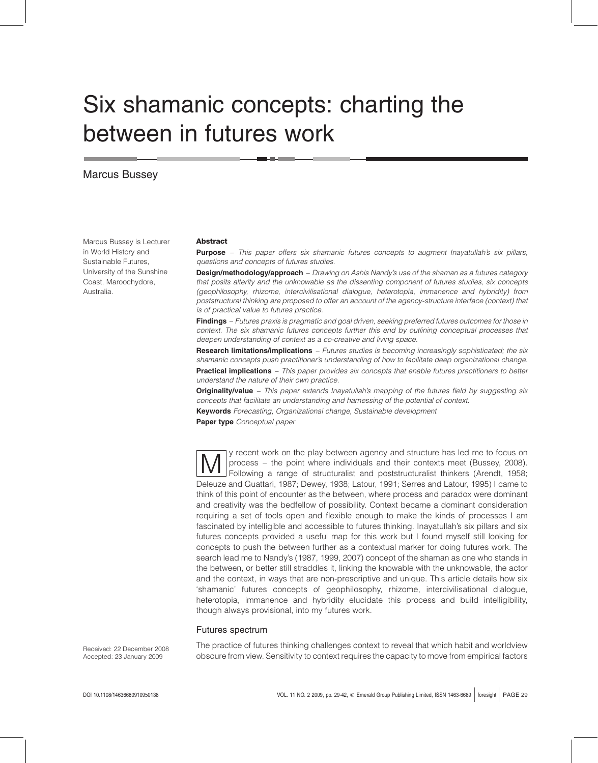# Six shamanic concepts: charting the between in futures work

# Marcus Bussey

Marcus Bussey is Lecturer in World History and Sustainable Futures, University of the Sunshine Coast, Maroochydore, Australia.

#### Abstract

**Purpose** - This paper offers six shamanic futures concepts to augment Inayatullah's six pillars, questions and concepts of futures studies.

**Design/methodology/approach** – Drawing on Ashis Nandy's use of the shaman as a futures category that posits alterity and the unknowable as the dissenting component of futures studies, six concepts (geophilosophy, rhizome, intercivilisational dialogue, heterotopia, immanence and hybridity) from poststructural thinking are proposed to offer an account of the agency-structure interface (context) that is of practical value to futures practice.

Findings - Futures praxis is pragmatic and goal driven, seeking preferred futures outcomes for those in context. The six shamanic futures concepts further this end by outlining conceptual processes that deepen understanding of context as a co-creative and living space.

Research limitations/implications - Futures studies is becoming increasingly sophisticated; the six shamanic concepts push practitioner's understanding of how to facilitate deep organizational change. Practical implications - This paper provides six concepts that enable futures practitioners to better understand the nature of their own practice.

**Originality/value** – This paper extends Inayatullah's mapping of the futures field by suggesting six concepts that facilitate an understanding and harnessing of the potential of context. Keywords Forecasting, Organizational change, Sustainable development

Paper type Conceptual paper

W y recent work on the play between agency and structure has led me to focus on<br>
Following a range of structuralist and poststructuralist thinkers (Arendt, 1958; process – the point where individuals and their contexts meet (Bussey, 2008). Deleuze and Guattari, 1987; Dewey, 1938; Latour, 1991; Serres and Latour, 1995) I came to think of this point of encounter as the between, where process and paradox were dominant and creativity was the bedfellow of possibility. Context became a dominant consideration requiring a set of tools open and flexible enough to make the kinds of processes I am fascinated by intelligible and accessible to futures thinking. Inayatullah's six pillars and six futures concepts provided a useful map for this work but I found myself still looking for concepts to push the between further as a contextual marker for doing futures work. The search lead me to Nandy's (1987, 1999, 2007) concept of the shaman as one who stands in the between, or better still straddles it, linking the knowable with the unknowable, the actor and the context, in ways that are non-prescriptive and unique. This article details how six 'shamanic' futures concepts of geophilosophy, rhizome, intercivilisational dialogue, heterotopia, immanence and hybridity elucidate this process and build intelligibility, though always provisional, into my futures work.

#### Futures spectrum

Received: 22 December 2008 Accepted: 23 January 2009

The practice of futures thinking challenges context to reveal that which habit and worldview obscure from view. Sensitivity to context requires the capacity to move from empirical factors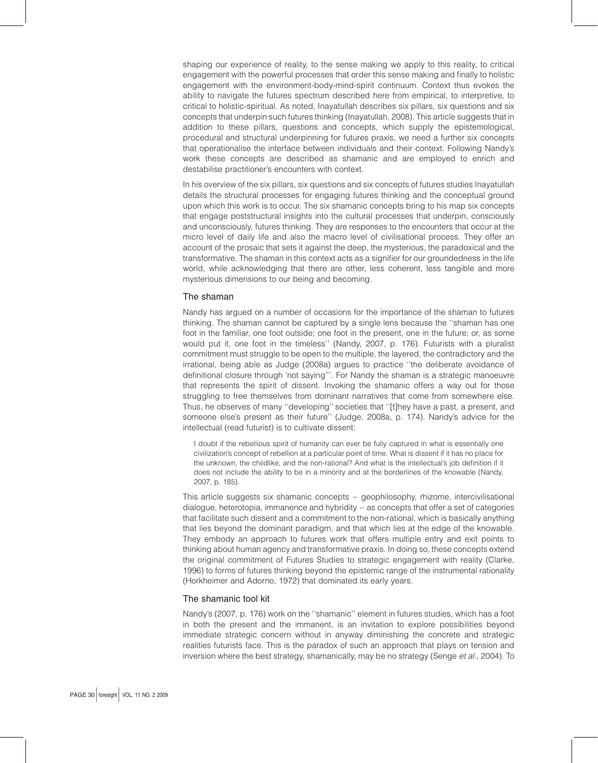shaping our experience of reality, to the sense making we apply to this reality, to critical engagement with the powerful processes that order this sense making and finally to holistic engagement with the environment-body-mind-spirit continuum. Context thus evokes the ability to navigate the futures spectrum described here from empirical, to interpretive, to critical to holistic-spiritual. As noted, Inayatullah describes six pillars, six questions and six concepts that underpin such futures thinking (Inayatullah, 2008). This article suggests that in addition to these pillars, questions and concepts, which supply the epistemological, procedural and structural underpinning for futures praxis, we need a further six concepts that operationalise the interface between individuals and their context. Following Nandy's work these concepts are described as shamanic and are employed to enrich and destabilise practitioner's encounters with context.

In his overview of the six pillars, six questions and six concepts of futures studies Inayatullah details the structural processes for engaging futures thinking and the conceptual ground upon which this work is to occur. The six shamanic concepts bring to his map six concepts that engage poststructural insights into the cultural processes that underpin, consciously and unconsciously, futures thinking. They are responses to the encounters that occur at the micro level of daily life and also the macro level of civilisational process. They offer an account of the prosaic that sets it against the deep, the mysterious, the paradoxical and the transformative. The shaman in this context acts as a signifier for our groundedness in the life world, while acknowledging that there are other, less coherent, less tangible and more mysterious dimensions to our being and becoming.

## The shaman

Nandy has argued on a number of occasions for the importance of the shaman to futures thinking. The shaman cannot be captured by a single lens because the ''shaman has one foot in the familiar, one foot outside; one foot in the present, one in the future; or, as some would put it, one foot in the timeless'' (Nandy, 2007, p. 176). Futurists with a pluralist commitment must struggle to be open to the multiple, the layered, the contradictory and the irrational, being able as Judge (2008a) argues to practice ''the deliberate avoidance of definitional closure through 'not saying'''. For Nandy the shaman is a strategic manoeuvre that represents the spirit of dissent. Invoking the shamanic offers a way out for those struggling to free themselves from dominant narratives that come from somewhere else. Thus, he observes of many ''developing'' societies that ''[t]hey have a past, a present, and someone else's present as their future'' (Judge, 2008a, p. 174). Nandy's advice for the intellectual (read futurist) is to cultivate dissent:

I doubt if the rebellious spirit of humanity can ever be fully captured in what is essentially one civilization's concept of rebellion at a particular point of time. What is dissent if it has no place for the unknown, the childlike, and the non-rational? And what is the intellectual's job definition if it does not include the ability to be in a minority and at the borderlines of the knowable (Nandy, 2007, p. 185).

This article suggests six shamanic concepts – geophilosophy, rhizome, intercivilisational dialogue, heterotopia, immanence and hybridity – as concepts that offer a set of categories that facilitate such dissent and a commitment to the non-rational, which is basically anything that lies beyond the dominant paradigm, and that which lies at the edge of the knowable. They embody an approach to futures work that offers multiple entry and exit points to thinking about human agency and transformative praxis. In doing so, these concepts extend the original commitment of Futures Studies to strategic engagement with reality (Clarke, 1996) to forms of futures thinking beyond the epistemic range of the instrumental rationality (Horkheimer and Adorno, 1972) that dominated its early years.

## The shamanic tool kit

Nandy's (2007, p. 176) work on the ''shamanic'' element in futures studies, which has a foot in both the present and the immanent, is an invitation to explore possibilities beyond immediate strategic concern without in anyway diminishing the concrete and strategic realities futurists face. This is the paradox of such an approach that plays on tension and inversion where the best strategy, shamanically, may be no strategy (Senge et al., 2004). To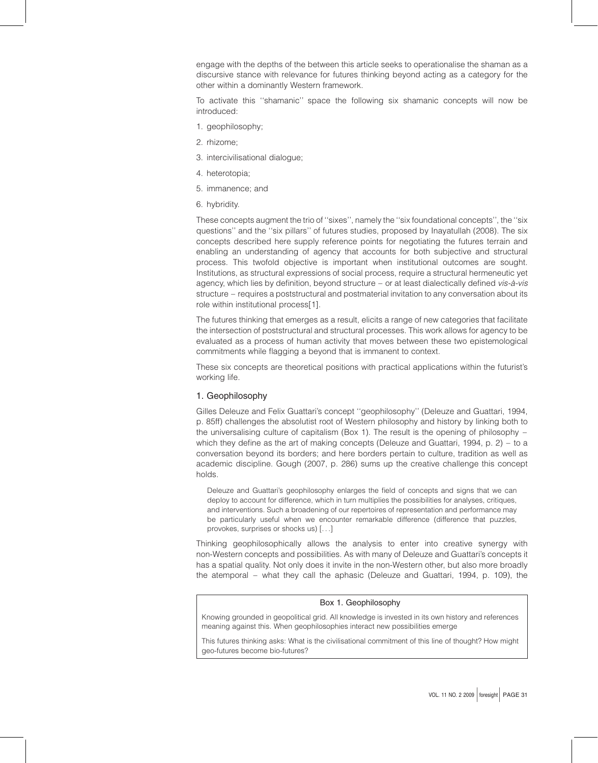engage with the depths of the between this article seeks to operationalise the shaman as a discursive stance with relevance for futures thinking beyond acting as a category for the other within a dominantly Western framework.

To activate this ''shamanic'' space the following six shamanic concepts will now be introduced:

- 1. geophilosophy;
- 2. rhizome;
- 3. intercivilisational dialogue;
- 4. heterotopia;
- 5. immanence; and
- 6. hybridity.

These concepts augment the trio of ''sixes'', namely the ''six foundational concepts'', the ''six questions'' and the ''six pillars'' of futures studies, proposed by Inayatullah (2008). The six concepts described here supply reference points for negotiating the futures terrain and enabling an understanding of agency that accounts for both subjective and structural process. This twofold objective is important when institutional outcomes are sought. Institutions, as structural expressions of social process, require a structural hermeneutic yet agency, which lies by definition, beyond structure  $-$  or at least dialectically defined vis- $\dot{a}$ -vis structure – requires a poststructural and postmaterial invitation to any conversation about its role within institutional process[1].

The futures thinking that emerges as a result, elicits a range of new categories that facilitate the intersection of poststructural and structural processes. This work allows for agency to be evaluated as a process of human activity that moves between these two epistemological commitments while flagging a beyond that is immanent to context.

These six concepts are theoretical positions with practical applications within the futurist's working life.

## 1. Geophilosophy

Gilles Deleuze and Felix Guattari's concept ''geophilosophy'' (Deleuze and Guattari, 1994, p. 85ff) challenges the absolutist root of Western philosophy and history by linking both to the universalising culture of capitalism (Box 1). The result is the opening of philosophy – which they define as the art of making concepts (Deleuze and Guattari, 1994, p. 2) – to a conversation beyond its borders; and here borders pertain to culture, tradition as well as academic discipline. Gough (2007, p. 286) sums up the creative challenge this concept holds.

Deleuze and Guattari's geophilosophy enlarges the field of concepts and signs that we can deploy to account for difference, which in turn multiplies the possibilities for analyses, critiques, and interventions. Such a broadening of our repertoires of representation and performance may be particularly useful when we encounter remarkable difference (difference that puzzles, provokes, surprises or shocks us) [. . .]

Thinking geophilosophically allows the analysis to enter into creative synergy with non-Western concepts and possibilities. As with many of Deleuze and Guattari's concepts it has a spatial quality. Not only does it invite in the non-Western other, but also more broadly the atemporal – what they call the aphasic (Deleuze and Guattari, 1994, p. 109), the

#### Box 1. Geophilosophy

Knowing grounded in geopolitical grid. All knowledge is invested in its own history and references meaning against this. When geophilosophies interact new possibilities emerge

This futures thinking asks: What is the civilisational commitment of this line of thought? How might geo-futures become bio-futures?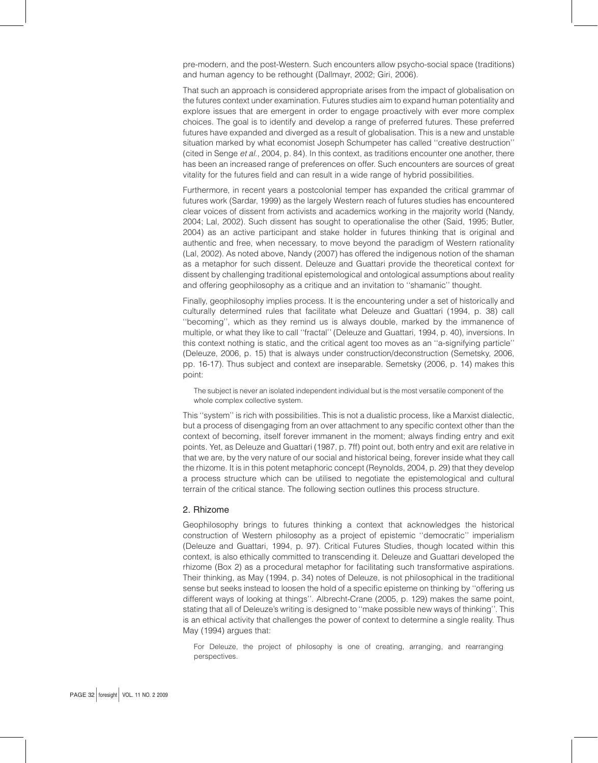pre-modern, and the post-Western. Such encounters allow psycho-social space (traditions) and human agency to be rethought (Dallmayr, 2002; Giri, 2006).

That such an approach is considered appropriate arises from the impact of globalisation on the futures context under examination. Futures studies aim to expand human potentiality and explore issues that are emergent in order to engage proactively with ever more complex choices. The goal is to identify and develop a range of preferred futures. These preferred futures have expanded and diverged as a result of globalisation. This is a new and unstable situation marked by what economist Joseph Schumpeter has called ''creative destruction'' (cited in Senge et al., 2004, p. 84). In this context, as traditions encounter one another, there has been an increased range of preferences on offer. Such encounters are sources of great vitality for the futures field and can result in a wide range of hybrid possibilities.

Furthermore, in recent years a postcolonial temper has expanded the critical grammar of futures work (Sardar, 1999) as the largely Western reach of futures studies has encountered clear voices of dissent from activists and academics working in the majority world (Nandy, 2004; Lal, 2002). Such dissent has sought to operationalise the other (Said, 1995; Butler, 2004) as an active participant and stake holder in futures thinking that is original and authentic and free, when necessary, to move beyond the paradigm of Western rationality (Lal, 2002). As noted above, Nandy (2007) has offered the indigenous notion of the shaman as a metaphor for such dissent. Deleuze and Guattari provide the theoretical context for dissent by challenging traditional epistemological and ontological assumptions about reality and offering geophilosophy as a critique and an invitation to ''shamanic'' thought.

Finally, geophilosophy implies process. It is the encountering under a set of historically and culturally determined rules that facilitate what Deleuze and Guattari (1994, p. 38) call ''becoming'', which as they remind us is always double, marked by the immanence of multiple, or what they like to call ''fractal'' (Deleuze and Guattari, 1994, p. 40), inversions. In this context nothing is static, and the critical agent too moves as an ''a-signifying particle'' (Deleuze, 2006, p. 15) that is always under construction/deconstruction (Semetsky, 2006, pp. 16-17). Thus subject and context are inseparable. Semetsky (2006, p. 14) makes this point:

The subject is never an isolated independent individual but is the most versatile component of the whole complex collective system.

This ''system'' is rich with possibilities. This is not a dualistic process, like a Marxist dialectic, but a process of disengaging from an over attachment to any specific context other than the context of becoming, itself forever immanent in the moment; always finding entry and exit points. Yet, as Deleuze and Guattari (1987, p. 7ff) point out, both entry and exit are relative in that we are, by the very nature of our social and historical being, forever inside what they call the rhizome. It is in this potent metaphoric concept (Reynolds, 2004, p. 29) that they develop a process structure which can be utilised to negotiate the epistemological and cultural terrain of the critical stance. The following section outlines this process structure.

## 2. Rhizome

Geophilosophy brings to futures thinking a context that acknowledges the historical construction of Western philosophy as a project of epistemic ''democratic'' imperialism (Deleuze and Guattari, 1994, p. 97). Critical Futures Studies, though located within this context, is also ethically committed to transcending it. Deleuze and Guattari developed the rhizome (Box 2) as a procedural metaphor for facilitating such transformative aspirations. Their thinking, as May (1994, p. 34) notes of Deleuze, is not philosophical in the traditional sense but seeks instead to loosen the hold of a specific episteme on thinking by ''offering us different ways of looking at things''. Albrecht-Crane (2005, p. 129) makes the same point, stating that all of Deleuze's writing is designed to ''make possible new ways of thinking''. This is an ethical activity that challenges the power of context to determine a single reality. Thus May (1994) argues that:

For Deleuze, the project of philosophy is one of creating, arranging, and rearranging perspectives.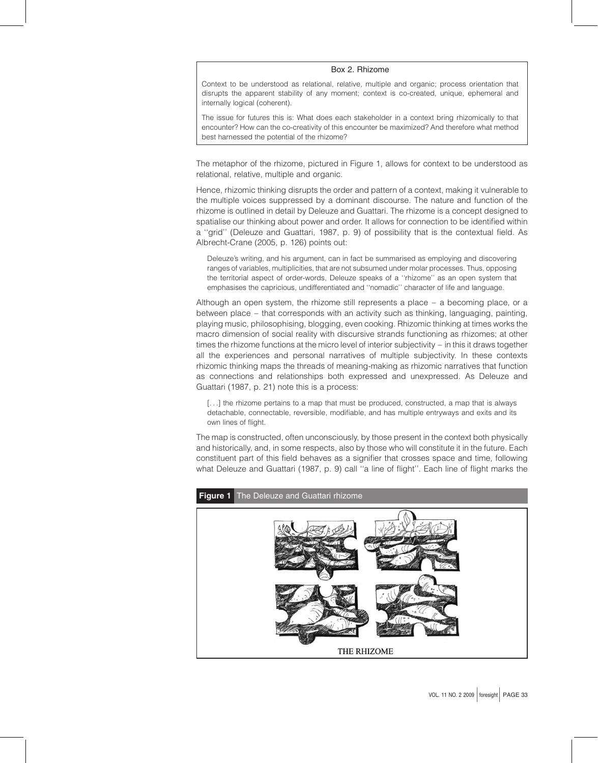#### Box 2. Rhizome

Context to be understood as relational, relative, multiple and organic; process orientation that disrupts the apparent stability of any moment; context is co-created, unique, ephemeral and internally logical (coherent).

The issue for futures this is: What does each stakeholder in a context bring rhizomically to that encounter? How can the co-creativity of this encounter be maximized? And therefore what method best harnessed the potential of the rhizome?

The metaphor of the rhizome, pictured in Figure 1, allows for context to be understood as relational, relative, multiple and organic.

Hence, rhizomic thinking disrupts the order and pattern of a context, making it vulnerable to the multiple voices suppressed by a dominant discourse. The nature and function of the rhizome is outlined in detail by Deleuze and Guattari. The rhizome is a concept designed to spatialise our thinking about power and order. It allows for connection to be identified within a ''grid'' (Deleuze and Guattari, 1987, p. 9) of possibility that is the contextual field. As Albrecht-Crane (2005, p. 126) points out:

Deleuze's writing, and his argument, can in fact be summarised as employing and discovering ranges of variables, multiplicities, that are not subsumed under molar processes. Thus, opposing the territorial aspect of order-words, Deleuze speaks of a ''rhizome'' as an open system that emphasises the capricious, undifferentiated and ''nomadic'' character of life and language.

Although an open system, the rhizome still represents a place – a becoming place, or a between place – that corresponds with an activity such as thinking, languaging, painting, playing music, philosophising, blogging, even cooking. Rhizomic thinking at times works the macro dimension of social reality with discursive strands functioning as rhizomes; at other times the rhizome functions at the micro level of interior subjectivity – in this it draws together all the experiences and personal narratives of multiple subjectivity. In these contexts rhizomic thinking maps the threads of meaning-making as rhizomic narratives that function as connections and relationships both expressed and unexpressed. As Deleuze and Guattari (1987, p. 21) note this is a process:

[...] the rhizome pertains to a map that must be produced, constructed, a map that is always detachable, connectable, reversible, modifiable, and has multiple entryways and exits and its own lines of flight.

The map is constructed, often unconsciously, by those present in the context both physically and historically, and, in some respects, also by those who will constitute it in the future. Each constituent part of this field behaves as a signifier that crosses space and time, following what Deleuze and Guattari (1987, p. 9) call ''a line of flight''. Each line of flight marks the

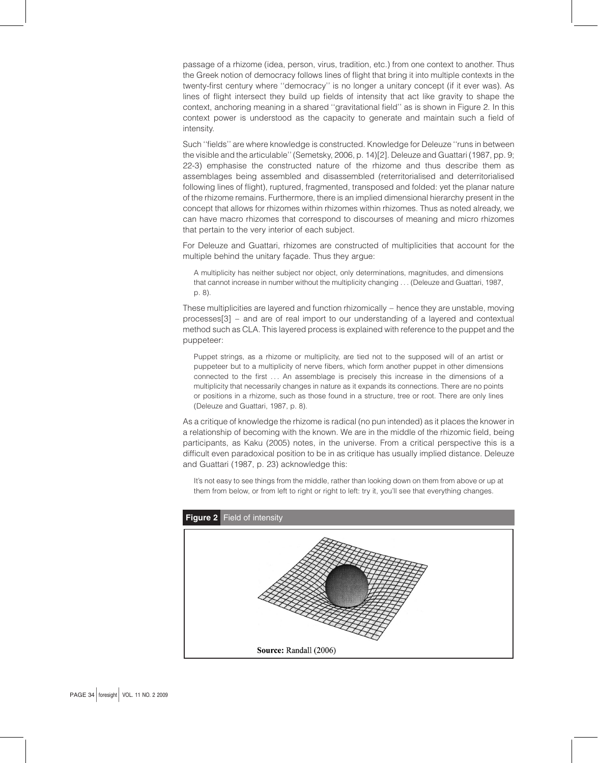passage of a rhizome (idea, person, virus, tradition, etc.) from one context to another. Thus the Greek notion of democracy follows lines of flight that bring it into multiple contexts in the twenty-first century where ''democracy'' is no longer a unitary concept (if it ever was). As lines of flight intersect they build up fields of intensity that act like gravity to shape the context, anchoring meaning in a shared ''gravitational field'' as is shown in Figure 2. In this context power is understood as the capacity to generate and maintain such a field of intensity.

Such ''fields'' are where knowledge is constructed. Knowledge for Deleuze ''runs in between the visible and the articulable'' (Semetsky, 2006, p. 14)[2]. Deleuze and Guattari (1987, pp. 9; 22-3) emphasise the constructed nature of the rhizome and thus describe them as assemblages being assembled and disassembled (reterritorialised and deterritorialised following lines of flight), ruptured, fragmented, transposed and folded: yet the planar nature of the rhizome remains. Furthermore, there is an implied dimensional hierarchy present in the concept that allows for rhizomes within rhizomes within rhizomes. Thus as noted already, we can have macro rhizomes that correspond to discourses of meaning and micro rhizomes that pertain to the very interior of each subject.

For Deleuze and Guattari, rhizomes are constructed of multiplicities that account for the multiple behind the unitary facade. Thus they argue:

A multiplicity has neither subject nor object, only determinations, magnitudes, and dimensions that cannot increase in number without the multiplicity changing . . . (Deleuze and Guattari, 1987, p. 8).

These multiplicities are layered and function rhizomically – hence they are unstable, moving processes[3] – and are of real import to our understanding of a layered and contextual method such as CLA. This layered process is explained with reference to the puppet and the puppeteer:

Puppet strings, as a rhizome or multiplicity, are tied not to the supposed will of an artist or puppeteer but to a multiplicity of nerve fibers, which form another puppet in other dimensions connected to the first ... An assemblage is precisely this increase in the dimensions of a multiplicity that necessarily changes in nature as it expands its connections. There are no points or positions in a rhizome, such as those found in a structure, tree or root. There are only lines (Deleuze and Guattari, 1987, p. 8).

As a critique of knowledge the rhizome is radical (no pun intended) as it places the knower in a relationship of becoming with the known. We are in the middle of the rhizomic field, being participants, as Kaku (2005) notes, in the universe. From a critical perspective this is a difficult even paradoxical position to be in as critique has usually implied distance. Deleuze and Guattari (1987, p. 23) acknowledge this:

It's not easy to see things from the middle, rather than looking down on them from above or up at them from below, or from left to right or right to left: try it, you'll see that everything changes.

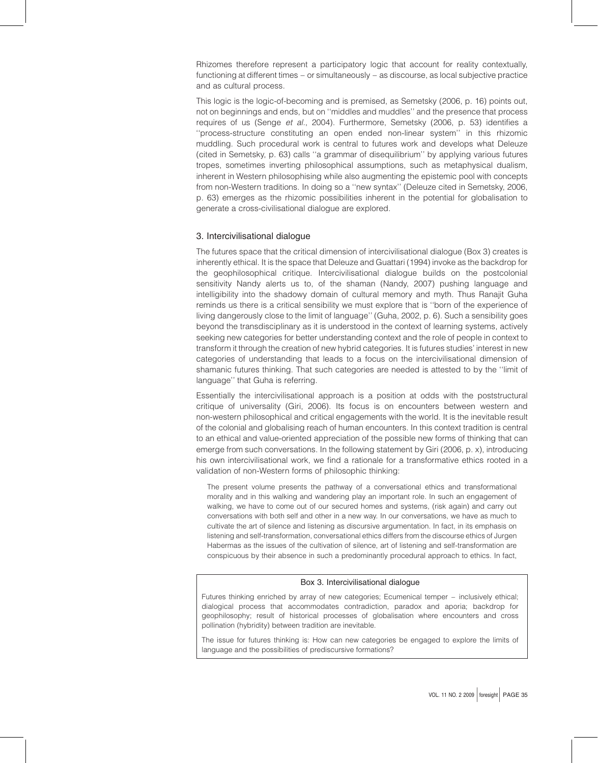Rhizomes therefore represent a participatory logic that account for reality contextually, functioning at different times – or simultaneously – as discourse, as local subjective practice and as cultural process.

This logic is the logic-of-becoming and is premised, as Semetsky (2006, p. 16) points out, not on beginnings and ends, but on ''middles and muddles'' and the presence that process requires of us (Senge et al., 2004). Furthermore, Semetsky (2006, p. 53) identifies a ''process-structure constituting an open ended non-linear system'' in this rhizomic muddling. Such procedural work is central to futures work and develops what Deleuze (cited in Semetsky, p. 63) calls ''a grammar of disequilibrium'' by applying various futures tropes, sometimes inverting philosophical assumptions, such as metaphysical dualism, inherent in Western philosophising while also augmenting the epistemic pool with concepts from non-Western traditions. In doing so a ''new syntax'' (Deleuze cited in Semetsky, 2006, p. 63) emerges as the rhizomic possibilities inherent in the potential for globalisation to generate a cross-civilisational dialogue are explored.

## 3. Intercivilisational dialogue

The futures space that the critical dimension of intercivilisational dialogue (Box 3) creates is inherently ethical. It is the space that Deleuze and Guattari (1994) invoke as the backdrop for the geophilosophical critique. Intercivilisational dialogue builds on the postcolonial sensitivity Nandy alerts us to, of the shaman (Nandy, 2007) pushing language and intelligibility into the shadowy domain of cultural memory and myth. Thus Ranajit Guha reminds us there is a critical sensibility we must explore that is ''born of the experience of living dangerously close to the limit of language'' (Guha, 2002, p. 6). Such a sensibility goes beyond the transdisciplinary as it is understood in the context of learning systems, actively seeking new categories for better understanding context and the role of people in context to transform it through the creation of new hybrid categories. It is futures studies' interest in new categories of understanding that leads to a focus on the intercivilisational dimension of shamanic futures thinking. That such categories are needed is attested to by the ''limit of language'' that Guha is referring.

Essentially the intercivilisational approach is a position at odds with the poststructural critique of universality (Giri, 2006). Its focus is on encounters between western and non-western philosophical and critical engagements with the world. It is the inevitable result of the colonial and globalising reach of human encounters. In this context tradition is central to an ethical and value-oriented appreciation of the possible new forms of thinking that can emerge from such conversations. In the following statement by Giri (2006, p. x), introducing his own intercivilisational work, we find a rationale for a transformative ethics rooted in a validation of non-Western forms of philosophic thinking:

The present volume presents the pathway of a conversational ethics and transformational morality and in this walking and wandering play an important role. In such an engagement of walking, we have to come out of our secured homes and systems, (risk again) and carry out conversations with both self and other in a new way. In our conversations, we have as much to cultivate the art of silence and listening as discursive argumentation. In fact, in its emphasis on listening and self-transformation, conversational ethics differs from the discourse ethics of Jurgen Habermas as the issues of the cultivation of silence, art of listening and self-transformation are conspicuous by their absence in such a predominantly procedural approach to ethics. In fact,

#### Box 3. Intercivilisational dialogue

Futures thinking enriched by array of new categories; Ecumenical temper – inclusively ethical; dialogical process that accommodates contradiction, paradox and aporia; backdrop for geophilosophy; result of historical processes of globalisation where encounters and cross pollination (hybridity) between tradition are inevitable.

The issue for futures thinking is: How can new categories be engaged to explore the limits of language and the possibilities of prediscursive formations?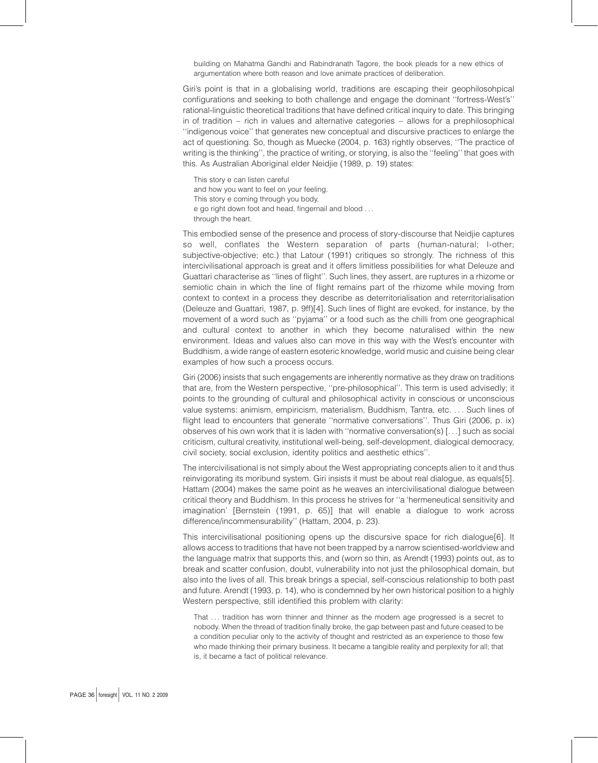building on Mahatma Gandhi and Rabindranath Tagore, the book pleads for a new ethics of argumentation where both reason and love animate practices of deliberation.

Giri's point is that in a globalising world, traditions are escaping their geophilosohpical configurations and seeking to both challenge and engage the dominant ''fortress-West's'' rational-linguistic theoretical traditions that have defined critical inquiry to date. This bringing in of tradition – rich in values and alternative categories – allows for a prephilosophical ''indigenous voice'' that generates new conceptual and discursive practices to enlarge the act of questioning. So, though as Muecke (2004, p. 163) rightly observes, ''The practice of writing is the thinking'', the practice of writing, or storying, is also the ''feeling'' that goes with this. As Australian Aboriginal elder Neidjie (1989, p. 19) states:

This story e can listen careful and how you want to feel on your feeling. This story e coming through you body, e go right down foot and head, fingernail and blood . . . through the heart.

This embodied sense of the presence and process of story-discourse that Neidjie captures so well, conflates the Western separation of parts (human-natural; I-other; subjective-objective; etc.) that Latour (1991) critiques so strongly. The richness of this intercivilisational approach is great and it offers limitless possibilities for what Deleuze and Guattari characterise as ''lines of flight''. Such lines, they assert, are ruptures in a rhizome or semiotic chain in which the line of flight remains part of the rhizome while moving from context to context in a process they describe as deterritorialisation and reterritorialisation (Deleuze and Guattari, 1987, p. 9ff)[4]. Such lines of flight are evoked, for instance, by the movement of a word such as ''pyjama'' or a food such as the chilli from one geographical and cultural context to another in which they become naturalised within the new environment. Ideas and values also can move in this way with the West's encounter with Buddhism, a wide range of eastern esoteric knowledge, world music and cuisine being clear examples of how such a process occurs.

Giri (2006) insists that such engagements are inherently normative as they draw on traditions that are, from the Western perspective, ''pre-philosophical''. This term is used advisedly; it points to the grounding of cultural and philosophical activity in conscious or unconscious value systems: animism, empiricism, materialism, Buddhism, Tantra, etc. . . . Such lines of flight lead to encounters that generate ''normative conversations''. Thus Giri (2006, p. ix) observes of his own work that it is laden with ''normative conversation(s) [. . .] such as social criticism, cultural creativity, institutional well-being, self-development, dialogical democracy, civil society, social exclusion, identity politics and aesthetic ethics''.

The intercivilisational is not simply about the West appropriating concepts alien to it and thus reinvigorating its moribund system. Giri insists it must be about real dialogue, as equals[5]. Hattam (2004) makes the same point as he weaves an intercivilisational dialogue between critical theory and Buddhism. In this process he strives for ''a 'hermeneutical sensitivity and imagination' [Bernstein (1991, p. 65)] that will enable a dialogue to work across difference/incommensurability'' (Hattam, 2004, p. 23).

This intercivilisational positioning opens up the discursive space for rich dialogue[6]. It allows access to traditions that have not been trapped by a narrow scientised-worldview and the language matrix that supports this, and (worn so thin, as Arendt (1993) points out, as to break and scatter confusion, doubt, vulnerability into not just the philosophical domain, but also into the lives of all. This break brings a special, self-conscious relationship to both past and future. Arendt (1993, p. 14), who is condemned by her own historical position to a highly Western perspective, still identified this problem with clarity:

That ... tradition has worn thinner and thinner as the modern age progressed is a secret to nobody. When the thread of tradition finally broke, the gap between past and future ceased to be a condition peculiar only to the activity of thought and restricted as an experience to those few who made thinking their primary business. It became a tangible reality and perplexity for all; that is, it became a fact of political relevance.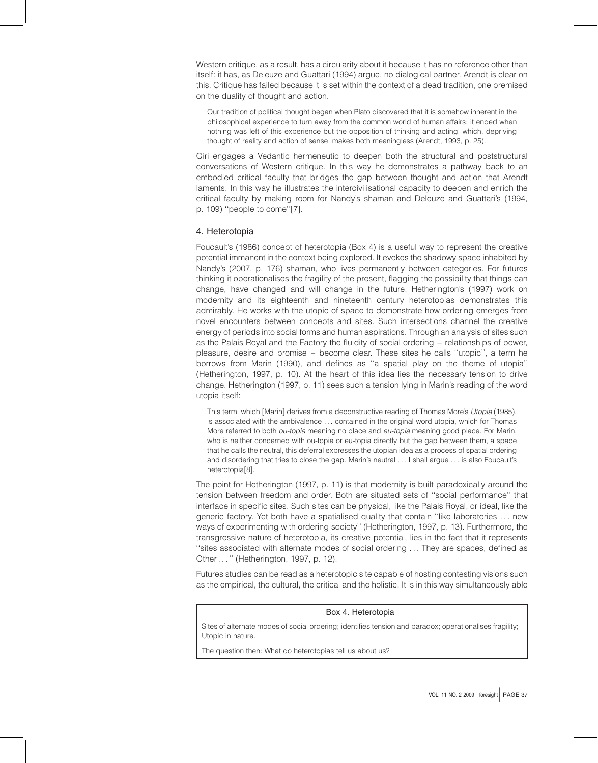Western critique, as a result, has a circularity about it because it has no reference other than itself: it has, as Deleuze and Guattari (1994) argue, no dialogical partner. Arendt is clear on this. Critique has failed because it is set within the context of a dead tradition, one premised on the duality of thought and action.

Our tradition of political thought began when Plato discovered that it is somehow inherent in the philosophical experience to turn away from the common world of human affairs; it ended when nothing was left of this experience but the opposition of thinking and acting, which, depriving thought of reality and action of sense, makes both meaningless (Arendt, 1993, p. 25).

Giri engages a Vedantic hermeneutic to deepen both the structural and poststructural conversations of Western critique. In this way he demonstrates a pathway back to an embodied critical faculty that bridges the gap between thought and action that Arendt laments. In this way he illustrates the intercivilisational capacity to deepen and enrich the critical faculty by making room for Nandy's shaman and Deleuze and Guattari's (1994, p. 109) ''people to come''[7].

## 4. Heterotopia

Foucault's (1986) concept of heterotopia (Box 4) is a useful way to represent the creative potential immanent in the context being explored. It evokes the shadowy space inhabited by Nandy's (2007, p. 176) shaman, who lives permanently between categories. For futures thinking it operationalises the fragility of the present, flagging the possibility that things can change, have changed and will change in the future. Hetherington's (1997) work on modernity and its eighteenth and nineteenth century heterotopias demonstrates this admirably. He works with the utopic of space to demonstrate how ordering emerges from novel encounters between concepts and sites. Such intersections channel the creative energy of periods into social forms and human aspirations. Through an analysis of sites such as the Palais Royal and the Factory the fluidity of social ordering – relationships of power, pleasure, desire and promise – become clear. These sites he calls ''utopic'', a term he borrows from Marin (1990), and defines as ''a spatial play on the theme of utopia'' (Hetherington, 1997, p. 10). At the heart of this idea lies the necessary tension to drive change. Hetherington (1997, p. 11) sees such a tension lying in Marin's reading of the word utopia itself:

This term, which [Marin] derives from a deconstructive reading of Thomas More's Utopia (1985), is associated with the ambivalence . . . contained in the original word utopia, which for Thomas More referred to both ou-topia meaning no place and eu-topia meaning good place. For Marin, who is neither concerned with ou-topia or eu-topia directly but the gap between them, a space that he calls the neutral, this deferral expresses the utopian idea as a process of spatial ordering and disordering that tries to close the gap. Marin's neutral . . . I shall argue . . . is also Foucault's heterotopia[8].

The point for Hetherington (1997, p. 11) is that modernity is built paradoxically around the tension between freedom and order. Both are situated sets of ''social performance'' that interface in specific sites. Such sites can be physical, like the Palais Royal, or ideal, like the generic factory. Yet both have a spatialised quality that contain ''like laboratories . . . new ways of experimenting with ordering society'' (Hetherington, 1997, p. 13). Furthermore, the transgressive nature of heterotopia, its creative potential, lies in the fact that it represents ''sites associated with alternate modes of social ordering . . . They are spaces, defined as Other...'' (Hetherington, 1997, p. 12).

Futures studies can be read as a heterotopic site capable of hosting contesting visions such as the empirical, the cultural, the critical and the holistic. It is in this way simultaneously able

#### Box 4. Heterotopia

Sites of alternate modes of social ordering; identifies tension and paradox; operationalises fragility; Utopic in nature.

The question then: What do heterotopias tell us about us?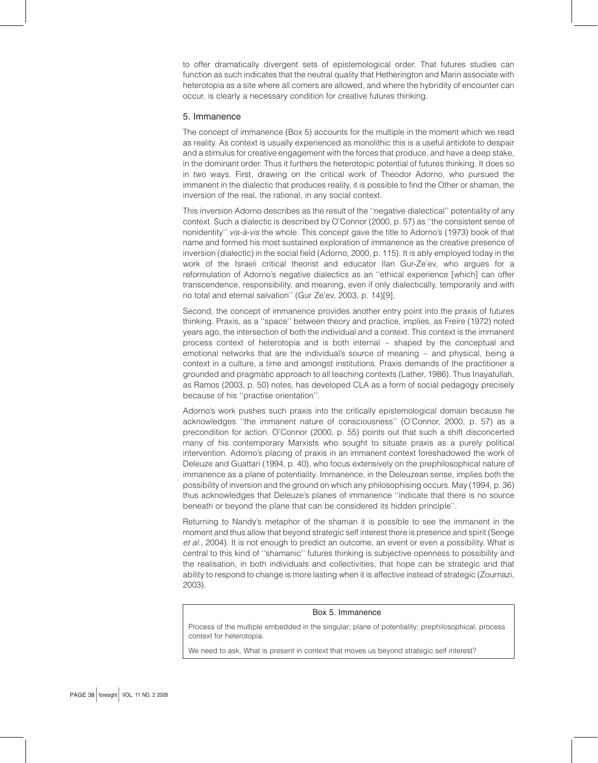to offer dramatically divergent sets of epistemological order. That futures studies can function as such indicates that the neutral quality that Hetherington and Marin associate with heterotopia as a site where all comers are allowed, and where the hybridity of encounter can occur, is clearly a necessary condition for creative futures thinking.

## 5. Immanence

The concept of immanence (Box 5) accounts for the multiple in the moment which we read as reality. As context is usually experienced as monolithic this is a useful antidote to despair and a stimulus for creative engagement with the forces that produce, and have a deep stake, in the dominant order. Thus it furthers the heterotopic potential of futures thinking. It does so in two ways. First, drawing on the critical work of Theodor Adorno, who pursued the immanent in the dialectic that produces reality, it is possible to find the Other or shaman, the inversion of the real, the rational, in any social context.

This inversion Adorno describes as the result of the ''negative dialectical'' potentiality of any context. Such a dialectic is described by O'Connor (2000, p. 57) as ''the consistent sense of nonidentity'' vis-à-vis the whole. This concept gave the title to Adorno's (1973) book of that name and formed his most sustained exploration of immanence as the creative presence of inversion (dialectic) in the social field (Adorno, 2000, p. 115). It is ably employed today in the work of the Israeli critical theorist and educator Ilan Gur-Ze'ev, who argues for a reformulation of Adorno's negative dialectics as an ''ethical experience [which] can offer transcendence, responsibility, and meaning, even if only dialectically, temporarily and with no total and eternal salvation'' (Gur Ze'ev, 2003, p. 14)[9].

Second, the concept of immanence provides another entry point into the praxis of futures thinking. Praxis, as a ''space'' between theory and practice, implies, as Freire (1972) noted years ago, the intersection of both the individual and a context. This context is the immanent process context of heterotopia and is both internal – shaped by the conceptual and emotional networks that are the individual's source of meaning – and physical, being a context in a culture, a time and amongst institutions. Praxis demands of the practitioner a grounded and pragmatic approach to all teaching contexts (Lather, 1986). Thus Inayatullah, as Ramos (2003, p. 50) notes, has developed CLA as a form of social pedagogy precisely because of his ''practise orientation''.

Adorno's work pushes such praxis into the critically epistemological domain because he acknowledges ''the immanent nature of consciousness'' (O'Connor, 2000, p. 57) as a precondition for action. O'Connor (2000, p. 55) points out that such a shift disconcerted many of his contemporary Marxists who sought to situate praxis as a purely political intervention. Adorno's placing of praxis in an immanent context foreshadowed the work of Deleuze and Guattari (1994, p. 40), who focus extensively on the prephilosophical nature of immanence as a plane of potentiality. Immanence, in the Deleuzean sense, implies both the possibility of inversion and the ground on which any philosophising occurs. May (1994, p. 36) thus acknowledges that Deleuze's planes of immanence ''indicate that there is no source beneath or beyond the plane that can be considered its hidden principle''.

Returning to Nandy's metaphor of the shaman it is possible to see the immanent in the moment and thus allow that beyond strategic self interest there is presence and spirit (Senge et al., 2004). It is not enough to predict an outcome, an event or even a possibility. What is central to this kind of ''shamanic'' futures thinking is subjective openness to possibility and the realisation, in both individuals and collectivities, that hope can be strategic and that ability to respond to change is more lasting when it is affective instead of strategic (Zournazi, 2003).

## Box 5. Immanence

Process of the multiple embedded in the singular; plane of potentiality; prephilosophical; process context for heterotopia.

We need to ask, What is present in context that moves us beyond strategic self interest?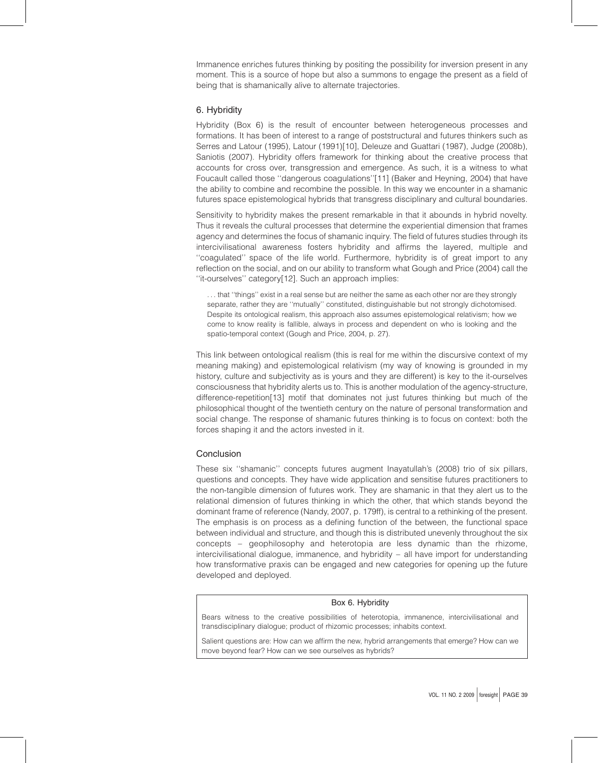Immanence enriches futures thinking by positing the possibility for inversion present in any moment. This is a source of hope but also a summons to engage the present as a field of being that is shamanically alive to alternate trajectories.

# 6. Hybridity

Hybridity (Box 6) is the result of encounter between heterogeneous processes and formations. It has been of interest to a range of poststructural and futures thinkers such as Serres and Latour (1995), Latour (1991)[10], Deleuze and Guattari (1987), Judge (2008b), Saniotis (2007). Hybridity offers framework for thinking about the creative process that accounts for cross over, transgression and emergence. As such, it is a witness to what Foucault called those ''dangerous coagulations''[11] (Baker and Heyning, 2004) that have the ability to combine and recombine the possible. In this way we encounter in a shamanic futures space epistemological hybrids that transgress disciplinary and cultural boundaries.

Sensitivity to hybridity makes the present remarkable in that it abounds in hybrid novelty. Thus it reveals the cultural processes that determine the experiential dimension that frames agency and determines the focus of shamanic inquiry. The field of futures studies through its intercivilisational awareness fosters hybridity and affirms the layered, multiple and ''coagulated'' space of the life world. Furthermore, hybridity is of great import to any reflection on the social, and on our ability to transform what Gough and Price (2004) call the ''it-ourselves'' category[12]. Such an approach implies:

. . . that ''things'' exist in a real sense but are neither the same as each other nor are they strongly separate, rather they are ''mutually'' constituted, distinguishable but not strongly dichotomised. Despite its ontological realism, this approach also assumes epistemological relativism; how we come to know reality is fallible, always in process and dependent on who is looking and the spatio-temporal context (Gough and Price, 2004, p. 27).

This link between ontological realism (this is real for me within the discursive context of my meaning making) and epistemological relativism (my way of knowing is grounded in my history, culture and subjectivity as is yours and they are different) is key to the it-ourselves consciousness that hybridity alerts us to. This is another modulation of the agency-structure, difference-repetition[13] motif that dominates not just futures thinking but much of the philosophical thought of the twentieth century on the nature of personal transformation and social change. The response of shamanic futures thinking is to focus on context: both the forces shaping it and the actors invested in it.

## Conclusion

These six ''shamanic'' concepts futures augment Inayatullah's (2008) trio of six pillars, questions and concepts. They have wide application and sensitise futures practitioners to the non-tangible dimension of futures work. They are shamanic in that they alert us to the relational dimension of futures thinking in which the other, that which stands beyond the dominant frame of reference (Nandy, 2007, p. 179ff), is central to a rethinking of the present. The emphasis is on process as a defining function of the between, the functional space between individual and structure, and though this is distributed unevenly throughout the six concepts – geophilosophy and heterotopia are less dynamic than the rhizome, intercivilisational dialogue, immanence, and hybridity – all have import for understanding how transformative praxis can be engaged and new categories for opening up the future developed and deployed.

#### Box 6. Hybridity

Bears witness to the creative possibilities of heterotopia, immanence, intercivilisational and transdisciplinary dialogue; product of rhizomic processes; inhabits context.

Salient questions are: How can we affirm the new, hybrid arrangements that emerge? How can we move beyond fear? How can we see ourselves as hybrids?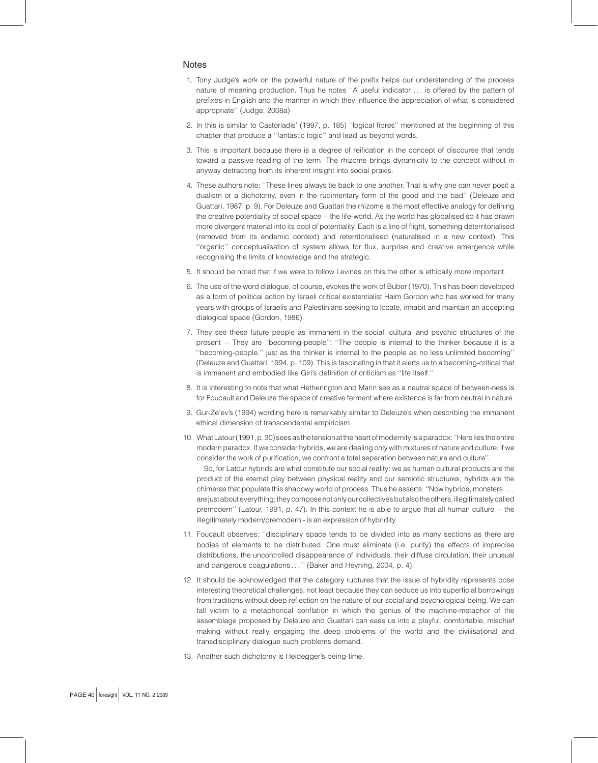## **Notes**

- 1. Tony Judge's work on the powerful nature of the prefix helps our understanding of the process nature of meaning production. Thus he notes ''A useful indicator . . . is offered by the pattern of prefixes in English and the manner in which they influence the appreciation of what is considered appropriate'' (Judge, 2008a)
- 2. In this is similar to Castoriadis' (1997, p. 185) ''logical fibres'' mentioned at the beginning of this chapter that produce a ''fantastic logic'' and lead us beyond words.
- 3. This is important because there is a degree of reification in the concept of discourse that tends toward a passive reading of the term. The rhizome brings dynamicity to the concept without in anyway detracting from its inherent insight into social praxis.
- 4. These authors note: ''These lines always tie back to one another. That is why one can never posit a dualism or a dichotomy, even in the rudimentary form of the good and the bad'' (Deleuze and Guattari, 1987, p. 9). For Deleuze and Guattari the rhizome is the most effective analogy for defining the creative potentiality of social space – the life-world. As the world has globalised so it has drawn more divergent material into its pool of potentiality. Each is a line of flight, something deterritorialised (removed from its endemic context) and reterritorialised (naturalised in a new context). This ''organic'' conceptualisation of system allows for flux, surprise and creative emergence while recognising the limits of knowledge and the strategic.
- 5. It should be noted that if we were to follow Levinas on this the other is ethically more important.
- 6. The use of the word dialogue, of course, evokes the work of Buber (1970). This has been developed as a form of political action by Israeli critical existentialist Haim Gordon who has worked for many years with groups of Israelis and Palestinians seeking to locate, inhabit and maintain an accepting dialogical space (Gordon, 1986).
- 7. They see these future people as immanent in the social, cultural and psychic structures of the present – They are ''becoming-people'': ''The people is internal to the thinker because it is a ''becoming-people,'' just as the thinker is internal to the people as no less unlimited becoming'' (Deleuze and Guattari, 1994, p. 109). This is fascinating in that it alerts us to a becoming-critical that is immanent and embodied like Giri's definition of criticism as ''life itself.''
- 8. It is interesting to note that what Hetherington and Marin see as a neutral space of between-ness is for Foucault and Deleuze the space of creative ferment where existence is far from neutral in nature.
- 9. Gur-Ze'ev's (1994) wording here is remarkably similar to Deleuze's when describing the immanent ethical dimension of transcendental empiricism.
- 10. What Latour (1991, p. 30) sees as the tension at the heart of modernity is a paradox: "Here lies the entire modern paradox. If we consider hybrids, we are dealing only with mixtures of nature and culture; if we consider the work of purification, we confront a total separation between nature and culture''.

So, for Latour hybrids are what constitute our social reality: we as human cultural products are the product of the eternal play between physical reality and our semiotic structures; hybrids are the chimeras that populate this shadowy world of process. Thus he asserts: ''Now hybrids, monsters . . . are just about everything; they compose not only our collectives but also the others, illegitimately called premodern'' (Latour, 1991, p. 47). In this context he is able to argue that all human culture – the illegitimately modern/premodern - is an expression of hybridity.

- 11. Foucault observes: ''disciplinary space tends to be divided into as many sections as there are bodies of elements to be distributed. One must eliminate (i.e. purify) the effects of imprecise distributions, the uncontrolled disappearance of individuals, their diffuse circulation, their unusual and dangerous coagulations . . . '' (Baker and Heyning, 2004, p. 4).
- 12. It should be acknowledged that the category ruptures that the issue of hybridity represents pose interesting theoretical challenges; not least because they can seduce us into superficial borrowings from traditions without deep reflection on the nature of our social and psychological being. We can fall victim to a metaphorical conflation in which the genius of the machine-metaphor of the assemblage proposed by Deleuze and Guattari can ease us into a playful, comfortable, mischief making without really engaging the deep problems of the world and the civilisational and transdisciplinary dialogue such problems demand.
- 13. Another such dichotomy is Heidegger's being-time.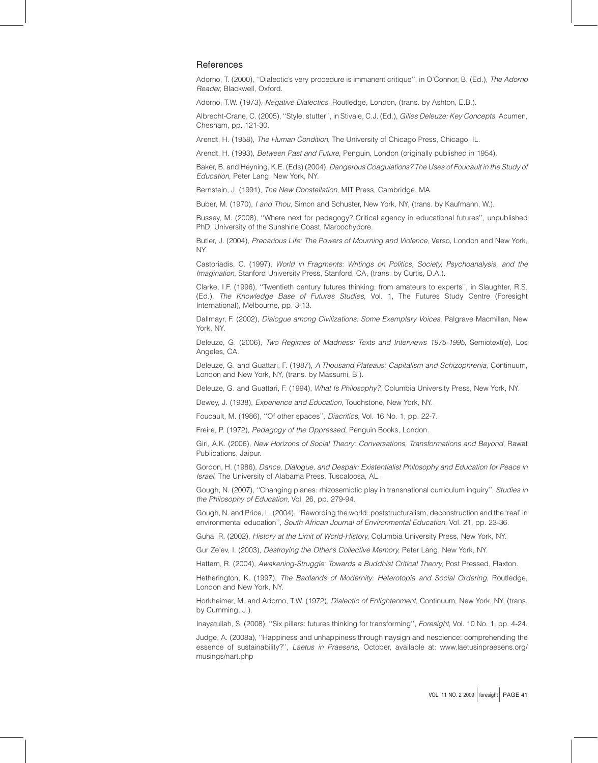## **References**

Adorno, T. (2000), ''Dialectic's very procedure is immanent critique'', in O'Connor, B. (Ed.), The Adorno Reader, Blackwell, Oxford.

Adorno, T.W. (1973), Negative Dialectics, Routledge, London, (trans. by Ashton, E.B.).

Albrecht-Crane, C. (2005), ''Style, stutter'', in Stivale, C.J. (Ed.), Gilles Deleuze: Key Concepts, Acumen, Chesham, pp. 121-30.

Arendt, H. (1958), The Human Condition, The University of Chicago Press, Chicago, IL.

Arendt, H. (1993), Between Past and Future, Penguin, London (originally published in 1954).

Baker, B. and Heyning, K.E. (Eds) (2004), Dangerous Coagulations? The Uses of Foucault in the Study of Education, Peter Lang, New York, NY.

Bernstein, J. (1991), The New Constellation, MIT Press, Cambridge, MA.

Buber, M. (1970), I and Thou, Simon and Schuster, New York, NY, (trans. by Kaufmann, W.).

Bussey, M. (2008), ''Where next for pedagogy? Critical agency in educational futures'', unpublished PhD, University of the Sunshine Coast, Maroochydore.

Butler, J. (2004), Precarious Life: The Powers of Mourning and Violence, Verso, London and New York, NY.

Castoriadis, C. (1997), World in Fragments: Writings on Politics, Society, Psychoanalysis, and the Imagination, Stanford University Press, Stanford, CA, (trans. by Curtis, D.A.).

Clarke, I.F. (1996), ''Twentieth century futures thinking: from amateurs to experts'', in Slaughter, R.S. (Ed.), The Knowledge Base of Futures Studies, Vol. 1, The Futures Study Centre (Foresight International), Melbourne, pp. 3-13.

Dallmayr, F. (2002), Dialogue among Civilizations: Some Exemplary Voices, Palgrave Macmillan, New York, NY.

Deleuze, G. (2006), Two Regimes of Madness: Texts and Interviews 1975-1995, Semiotext(e), Los Angeles, CA.

Deleuze, G. and Guattari, F. (1987), A Thousand Plateaus: Capitalism and Schizophrenia, Continuum, London and New York, NY, (trans. by Massumi, B.).

Deleuze, G. and Guattari, F. (1994), What Is Philosophy?, Columbia University Press, New York, NY.

Dewey, J. (1938), Experience and Education, Touchstone, New York, NY.

Foucault, M. (1986), ''Of other spaces'', Diacritics, Vol. 16 No. 1, pp. 22-7.

Freire, P. (1972), Pedagogy of the Oppressed, Penguin Books, London.

Giri, A.K. (2006), New Horizons of Social Theory: Conversations, Transformations and Beyond, Rawat Publications, Jaipur.

Gordon, H. (1986), Dance, Dialogue, and Despair: Existentialist Philosophy and Education for Peace in Israel, The University of Alabama Press, Tuscaloosa, AL.

Gough, N. (2007), ''Changing planes: rhizosemiotic play in transnational curriculum inquiry'', Studies in the Philosophy of Education, Vol. 26, pp. 279-94.

Gough, N. and Price, L. (2004), ''Rewording the world: poststructuralism, deconstruction and the 'real' in environmental education'', South African Journal of Environmental Education, Vol. 21, pp. 23-36.

Guha, R. (2002), History at the Limit of World-History, Columbia University Press, New York, NY.

Gur Ze'ev, I. (2003), Destroying the Other's Collective Memory, Peter Lang, New York, NY.

Hattam, R. (2004), Awakening-Struggle: Towards a Buddhist Critical Theory, Post Pressed, Flaxton.

Hetherington, K. (1997), The Badlands of Modernity: Heterotopia and Social Ordering, Routledge, London and New York, NY.

Horkheimer, M. and Adorno, T.W. (1972), Dialectic of Enlightenment, Continuum, New York, NY, (trans. by Cumming, J.).

Inayatullah, S. (2008), ''Six pillars: futures thinking for transforming'', Foresight, Vol. 10 No. 1, pp. 4-24.

Judge, A. (2008a), ''Happiness and unhappiness through naysign and nescience: comprehending the essence of sustainability?'', Laetus in Praesens, October, available at: www.laetusinpraesens.org/ musings/nart.php